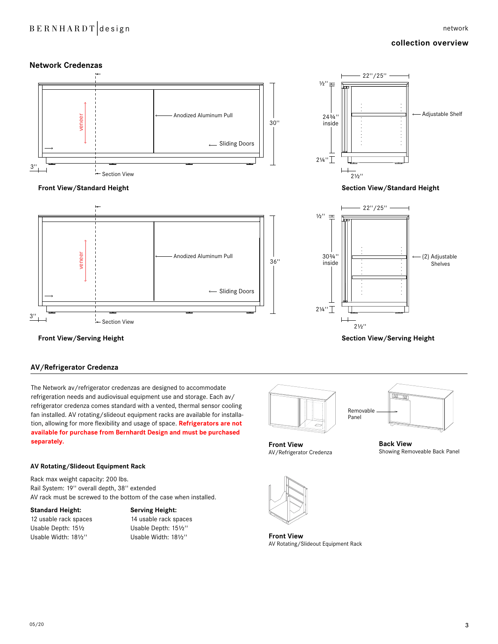## BERNHARDT design network

### **collection overview**



**Section View/Serving Height**



### **AV/Refrigerator Credenza**

The Network av/refrigerator credenzas are designed to accommodate refrigeration needs and audiovisual equipment use and storage. Each av/ refrigerator credenza comes standard with a vented, thermal sensor cooling fan installed. AV rotating/slideout equipment racks are available for installation, allowing for more flexibility and usage of space. **Refrigerators are not available for purchase from Bernhardt Design and must be purchased separately.**





Showing Removeable Back Panel

**Back View**

**Front View** AV/Refrigerator Credenza

### **AV Rotating/Slideout Equipment Rack**

Rack max weight capacity: 200 lbs. Rail System: 19'' overall depth, 38'' extended AV rack must be screwed to the bottom of the case when installed.

12 usable rack spaces 14 usable rack spaces Usable Depth: 15∑ Usable Depth: 15∑'' Usable Width: 18∑'' Usable Width: 18∑''

### **Standard Height: Serving Height:**



**Front View**  AV Rotating/Slideout Equipment Rack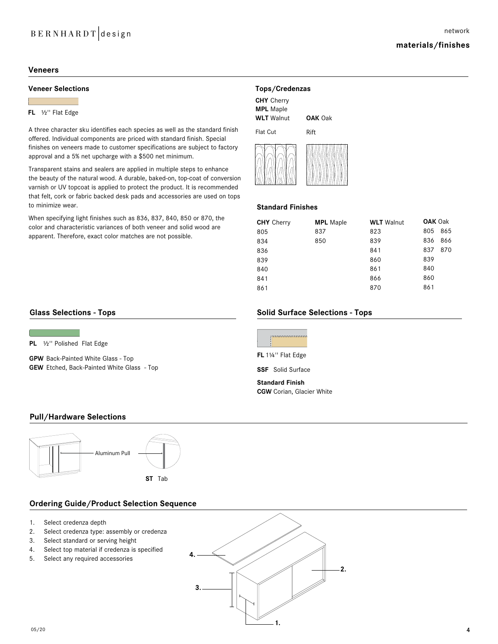## BERNHARDT design

### **materials/finishes**

### **Veneers**

### **Veneer Selections Tops/Credenzas**

### **FL** ∑'' Flat Edge

A three character sku identifies each species as well as the standard finish offered. Individual components are priced with standard finish. Special finishes on veneers made to customer specifications are subject to factory approval and a 5% net upcharge with a \$500 net minimum.

Transparent stains and sealers are applied in multiple steps to enhance the beauty of the natural wood. A durable, baked-on, top-coat of conversion varnish or UV topcoat is applied to protect the product. It is recommended that felt, cork or fabric backed desk pads and accessories are used on tops to minimize wear.

When specifying light finishes such as 836, 837, 840, 850 or 870, the color and characteristic variances of both veneer and solid wood are apparent. Therefore, exact color matches are not possible.

| <b>CHY</b> Cherry |  |
|-------------------|--|
| <b>MPL</b> Maple  |  |
| <b>WLT</b> Walnut |  |

Flat Cut **OAK** Oak Rift



### **Standard Finishes**

| <b>CHY</b> Cherry | <b>MPL</b> Maple | <b>WLT</b> Walnut | <b>OAK Oak</b> |     |
|-------------------|------------------|-------------------|----------------|-----|
| 805               | 837              | 823               | 805            | 865 |
| 834               | 850              | 839               | 836            | 866 |
| 836               |                  | 841               | 837            | 870 |
| 839               |                  | 860               | 839            |     |
| 840               |                  | 861               | 840            |     |
| 841               |                  | 866               | 860            |     |
| 861               |                  | 870               | 861            |     |

### **Glass Selections - Tops**

**PL** 1/2" Polished Flat Edge

**GPW** Back-Painted White Glass - Top **GEW** Etched, Back-Painted White Glass - Top

### **Solid Surface Selections - Tops**



**SSF** Solid Surface

**Standard Finish CGW** Corian, Glacier White

### **Pull/Hardware Selections**



### **Ordering Guide/Product Selection Sequence**

- 1. Select credenza depth
- 2. Select credenza type: assembly or credenza
- 3. Select standard or serving height
- 4. Select top material if credenza is specified
- 5. Select any required accessories

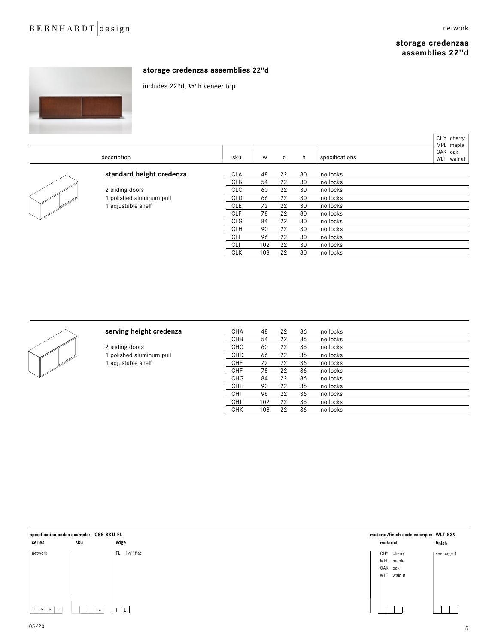# BERNHARDT design network

### **storage credenzas assemblies 22''d**



### **storage credenzas assemblies 22''d**

includes 22''d, ∑''h veneer top

| description              | sku        | W   | d  | h  | specifications | CHY cherry<br>MPL maple<br>OAK oak<br>WLT walnut |
|--------------------------|------------|-----|----|----|----------------|--------------------------------------------------|
| standard height credenza | <b>CLA</b> | 48  | 22 | 30 | no locks       |                                                  |
|                          | <b>CLB</b> | 54  | 22 | 30 | no locks       |                                                  |
| 2 sliding doors          | <b>CLC</b> | 60  | 22 | 30 | no locks       |                                                  |
| polished aluminum pull   | <b>CLD</b> | 66  | 22 | 30 | no locks       |                                                  |
| adjustable shelf         | <b>CLE</b> | 72  | 22 | 30 | no locks       |                                                  |
|                          | <b>CLF</b> | 78  | 22 | 30 | no locks       |                                                  |
|                          | <b>CLG</b> | 84  | 22 | 30 | no locks       |                                                  |
|                          | <b>CLH</b> | 90  | 22 | 30 | no locks       |                                                  |
|                          | CLI        | 96  | 22 | 30 | no locks       |                                                  |
|                          | CLJ        | 102 | 22 | 30 | no locks       |                                                  |
|                          | <b>CLK</b> | 108 | 22 | 30 | no locks       |                                                  |



**serving height credenza**<br>
CHB 54 22 36 no locks<br>
CHB 54 22 36 no locks no locks 2 sliding doors CHC 60 22 36 no locks 1 polished aluminum pull CHD 66 22 36 no locks<br>1 adjustable shelf CHE 72 22 36 no locks 1 adjustable shelf **CHE** 72 22 36 no locks CHF 78 22 36 no locks CHG 84 22 36 no locks CHH 90 22 36 no locks CHI 96 22 36 no locks<br>CHJ 102 22 36 no locks no locks CHK 108 22 36 no locks

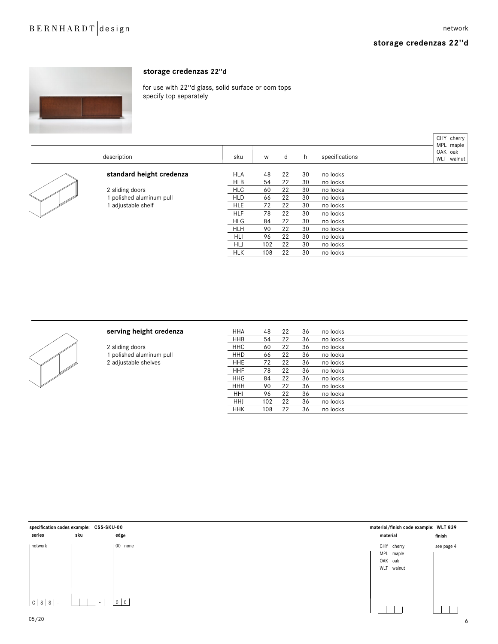### **storage credenzas 22''d**

 $\Gamma$ 



### **storage credenzas 22''d**

serving height credenza

2 sliding doors 1 polished aluminum pull 2 adjustable shelves

for use with 22''d glass, solid surface or com tops specify top separately

|  |                          |            |     |    |    |                | CHY cherry<br>MPL maple         |
|--|--------------------------|------------|-----|----|----|----------------|---------------------------------|
|  | description              |            | W   | d  | h  | specifications | OAK oak<br><b>WLT</b><br>walnut |
|  | standard height credenza | <b>HLA</b> | 48  | 22 | 30 | no locks       |                                 |
|  |                          | <b>HLB</b> | 54  | 22 | 30 | no locks       |                                 |
|  | 2 sliding doors          | <b>HLC</b> | 60  | 22 | 30 | no locks       |                                 |
|  | polished aluminum pull   | <b>HLD</b> | 66  | 22 | 30 | no locks       |                                 |
|  | adjustable shelf         | <b>HLE</b> | 72  | 22 | 30 | no locks       |                                 |
|  |                          | <b>HLF</b> | 78  | 22 | 30 | no locks       |                                 |
|  |                          | <b>HLG</b> | 84  | 22 | 30 | no locks       |                                 |
|  |                          | <b>HLH</b> | 90  | 22 | 30 | no locks       |                                 |
|  |                          | HLI        | 96  | 22 | 30 | no locks       |                                 |
|  |                          | <b>HLJ</b> | 102 | 22 | 30 | no locks       |                                 |
|  |                          | <b>HLK</b> | 108 | 22 | 30 | no locks       |                                 |



| <b>HHA</b> | 48  | 22 | 36 | no locks |  |
|------------|-----|----|----|----------|--|
| <b>HHB</b> | 54  | 22 | 36 | no locks |  |
| <b>HHC</b> | 60  | 22 | 36 | no locks |  |
| <b>HHD</b> | 66  | 22 | 36 | no locks |  |
| <b>HHE</b> | 72  | 22 | 36 | no locks |  |
| <b>HHF</b> | 78  | 22 | 36 | no locks |  |
| <b>HHG</b> | 84  | 22 | 36 | no locks |  |
| <b>HHH</b> | 90  | 22 | 36 | no locks |  |
| HHI        | 96  | 22 | 36 | no locks |  |
| <b>HHI</b> | 102 | 22 | 36 | no locks |  |
| <b>HHK</b> | 108 | 22 | 36 | no locks |  |
|            |     |    |    |          |  |

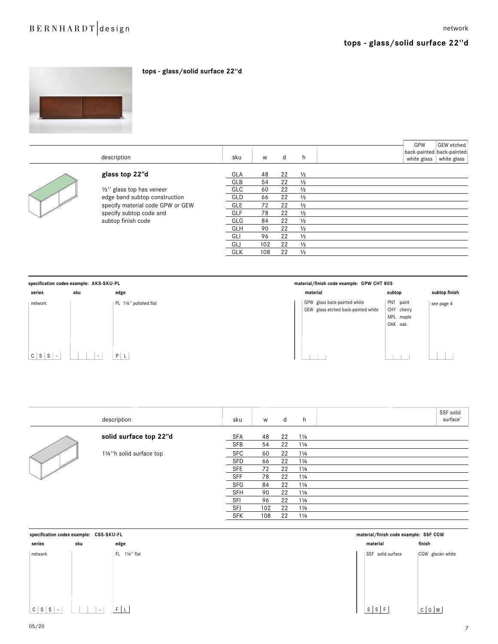

|                | description                      | sku        | W        | d        | h.                             | GPW<br>white glass | GEW etched<br>back-painted back-painted<br>white glass |
|----------------|----------------------------------|------------|----------|----------|--------------------------------|--------------------|--------------------------------------------------------|
| W <sup>W</sup> | glass top 22"d                   | GLA<br>GLB | 48<br>54 | 22<br>22 | $\frac{1}{2}$<br>$\frac{1}{2}$ |                    |                                                        |
|                | 1/2" glass top has veneer        | <b>GLC</b> | 60       | 22       | $\frac{1}{2}$                  |                    |                                                        |
|                | edge band subtop construction    | GLD        | 66       | 22       | $\frac{1}{2}$                  |                    |                                                        |
|                | specify material code GPW or GEW | <b>GLE</b> | 72       | 22       | $\frac{1}{2}$                  |                    |                                                        |
|                | specify subtop code and          | <b>GLF</b> | 78       | 22       | $\frac{1}{2}$                  |                    |                                                        |
|                | subtop finish code               | GLG        | 84       | 22       | $\frac{1}{2}$                  |                    |                                                        |
|                |                                  | <b>GLH</b> | 90       | 22       | $\frac{1}{2}$                  |                    |                                                        |
|                |                                  | GLI        | 96       | 22       | $\frac{1}{2}$                  |                    |                                                        |
|                |                                  | GLJ        | 102      | 22       | $\frac{1}{2}$                  |                    |                                                        |
|                |                                  | <b>GLK</b> | 108      | 22       | $\frac{1}{2}$                  |                    |                                                        |

**tops - glass/solid surface 22''d**



|                      | description              | sku        | W   | d  | h.             | SSF solid<br>surface <sup>®</sup> |
|----------------------|--------------------------|------------|-----|----|----------------|-----------------------------------|
|                      | solid surface top 22"d   | SFA        | 48  | 22 | $1\frac{1}{4}$ |                                   |
|                      |                          | SFB        | 54  | 22 | $1\frac{1}{4}$ |                                   |
| ↖<br>SI <sup>1</sup> | 11/4"h solid surface top | <b>SFC</b> | 60  | 22 | $1\frac{1}{4}$ |                                   |
|                      |                          | SFD        | 66  | 22 | $1\frac{1}{4}$ |                                   |
|                      |                          | <b>SFE</b> | 72  | 22 | $1\frac{1}{4}$ |                                   |
|                      |                          | <b>SFF</b> | 78  | 22 | $1\frac{1}{4}$ |                                   |
|                      |                          | SFG        | 84  | 22 | $1\frac{1}{4}$ |                                   |
|                      |                          | SFH        | 90  | 22 | $1\frac{1}{4}$ |                                   |
|                      |                          | SFI        | 96  | 22 | $1\frac{1}{4}$ |                                   |
|                      |                          | SFJ        | 102 | 22 | $1\frac{1}{4}$ |                                   |
|                      |                          | <b>SFK</b> | 108 | 22 | $1\frac{1}{4}$ |                                   |

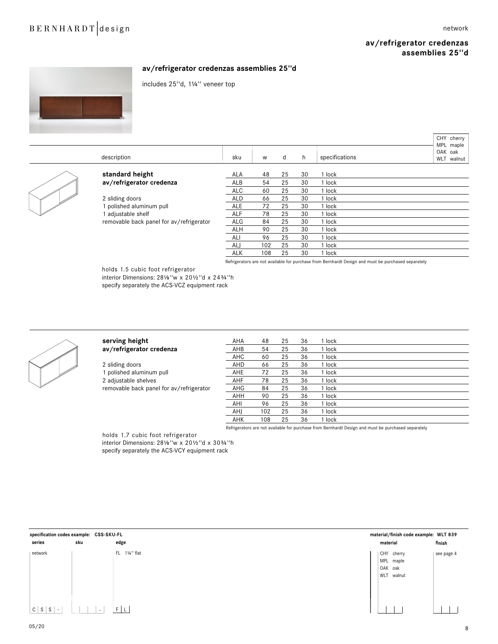## BERNHARDT design network

CHY cherry

### **av/refrigerator credenzas assemblies 25''d**



### **av/refrigerator credenzas assemblies 25''d**

includes 25''d, 1∂'' veneer top



Refrigerators are not available for purchase from Bernhardt Design and must be purchased separately

holds 1.5 cubic foot refrigerator

interior Dimensions: 281/8"w x 201/2"d x 243/4"h specify separately the ACS-VCZ equipment rack



| serving height<br>av/refrigerator credenza                                                                      |
|-----------------------------------------------------------------------------------------------------------------|
| 2 sliding doors<br>1 polished aluminum pull<br>2 adjustable shelves<br>removable back panel for av/refrigerator |

| serving height                           | AHA | 48  | 25 | 36 | 1 lock |  |
|------------------------------------------|-----|-----|----|----|--------|--|
| av/refrigerator credenza                 | AHB | 54  | 25 | 36 | 1 lock |  |
|                                          | AHC | 60  | 25 | 36 | 1 lock |  |
| 2 sliding doors                          | AHD | 66  | 25 | 36 | 1 lock |  |
| 1 polished aluminum pull                 | AHE | 72  | 25 | 36 | 1 lock |  |
| 2 adjustable shelves                     | AHF | 78  | 25 | 36 | 1 lock |  |
| removable back panel for av/refrigerator | AHG | 84  | 25 | 36 | 1 lock |  |
|                                          | AHH | 90  | 25 | 36 | 1 lock |  |
|                                          | AHI | 96  | 25 | 36 | 1 lock |  |
|                                          | AHJ | 102 | 25 | 36 | 1 lock |  |
|                                          | AHK | 108 | 25 | 36 | 1 lock |  |
|                                          |     |     |    |    |        |  |

Refrigerators are not available for purchase from Bernhardt Design and must be purchased separately

### holds 1.7 cubic foot refrigerator

interior Dimensions: 281/8"w x 201/2"d x 303/4"h specify separately the ACS-VCY equipment rack

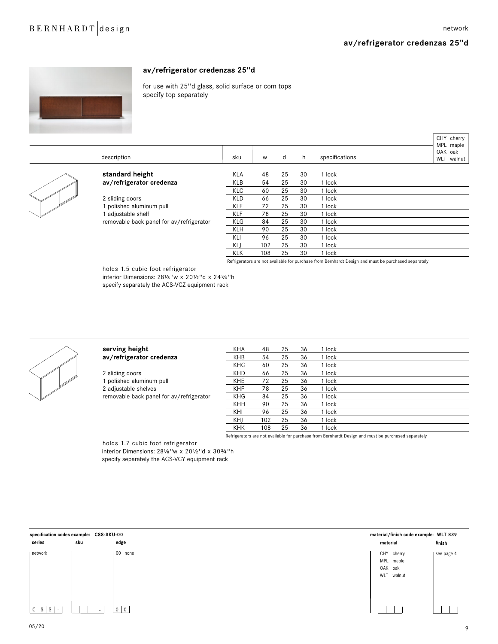$CUV$  cherry

### **av/refrigerator credenzas 25''d**



### **av/refrigerator credenzas 25''d**

for use with 25''d glass, solid surface or com tops specify top separately

|     | description                              | sku        | w   | d  | h  | specifications | VIII VIICITY<br>MPL maple<br>OAK oak<br>WLT walnut |
|-----|------------------------------------------|------------|-----|----|----|----------------|----------------------------------------------------|
|     | standard height                          | KLA        | 48  | 25 | 30 | 1 lock         |                                                    |
|     | av/refrigerator credenza                 | KLB        | 54  | 25 | 30 | 1 lock         |                                                    |
|     |                                          | <b>KLC</b> | 60  | 25 | 30 | 1 lock         |                                                    |
| - M | 2 sliding doors                          | <b>KLD</b> | 66  | 25 | 30 | 1 lock         |                                                    |
|     | polished aluminum pull                   | <b>KLE</b> | 72  | 25 | 30 | 1 lock         |                                                    |
|     | adjustable shelf                         | <b>KLF</b> | 78  | 25 | 30 | 1 lock         |                                                    |
|     | removable back panel for av/refrigerator | <b>KLG</b> | 84  | 25 | 30 | 1 lock         |                                                    |
|     |                                          | KLH        | 90  | 25 | 30 | 1 lock         |                                                    |
|     |                                          | KLI        | 96  | 25 | 30 | 1 lock         |                                                    |
|     |                                          | <b>KLJ</b> | 102 | 25 | 30 | 1 lock         |                                                    |
|     |                                          | <b>KLK</b> | 108 | 25 | 30 | 1 lock         |                                                    |
|     |                                          |            |     |    |    |                |                                                    |

Refrigerators are not available for purchase from Bernhardt Design and must be purchased separately

holds 1.5 cubic foot refrigerator

interior Dimensions: 281/8"w x 201/2"d x 243/4"h specify separately the ACS-VCZ equipment rack



serving height av/refrigerator credenza

2 sliding doors 1 polished aluminum pull 2 adjustable shelves removable back panel for av/refrigerator

| KHA        | 48  | 25 | 36 | 1 lock     |                                                      |  |
|------------|-----|----|----|------------|------------------------------------------------------|--|
| <b>KHB</b> | 54  | 25 | 36 | 1 lock     |                                                      |  |
| <b>KHC</b> | 60  | 25 | 36 | 1 lock     |                                                      |  |
| <b>KHD</b> | 66  | 25 | 36 | 1 lock     |                                                      |  |
| <b>KHE</b> | 72  | 25 | 36 | 1 lock     |                                                      |  |
| <b>KHF</b> | 78  | 25 | 36 | 1 lock     |                                                      |  |
| <b>KHG</b> | 84  | 25 | 36 | 1 lock     |                                                      |  |
| <b>KHH</b> | 90  | 25 | 36 | 1 lock     |                                                      |  |
| KHI        | 96  | 25 | 36 | 1 lock     |                                                      |  |
| KHJ        | 102 | 25 | 36 | 1 lock     |                                                      |  |
| <b>KHK</b> | 108 | 25 | 36 | 1 lock     |                                                      |  |
|            |     | .  |    | __ _ _ _ _ | <b>Contract Contract Contract Contract</b><br>$\sim$ |  |

Refrigerators are not available for purchase from Bernhardt Design and must be purchased separately

holds 1.7 cubic foot refrigerator

interior Dimensions: 281/8 "w x 201/2 "d x 303/4 "h specify separately the ACS-VCY equipment rack

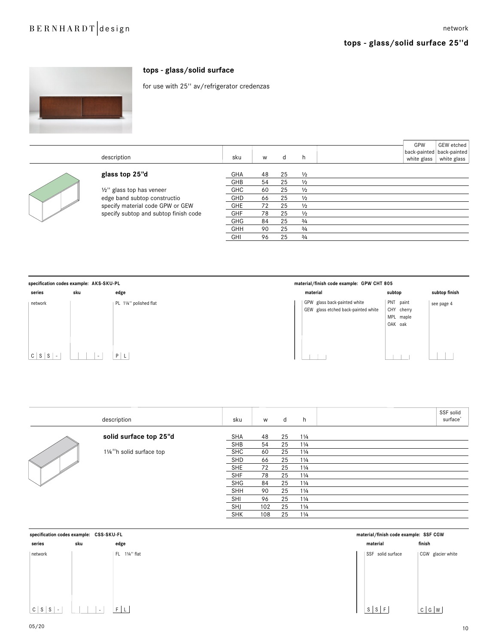

### **tops - glass/solid surface**

for use with 25'' av/refrigerator credenzas

|       | description                           | sku        | W  | d  | h             | GPW<br>white glass | GEW etched<br>back-painted   back-painted<br>white glass |
|-------|---------------------------------------|------------|----|----|---------------|--------------------|----------------------------------------------------------|
|       | glass top 25"d                        | GHA        | 48 | 25 | $\frac{1}{2}$ |                    |                                                          |
|       |                                       | GHB        | 54 | 25 | $\frac{1}{2}$ |                    |                                                          |
|       | 1/2" glass top has veneer             | <b>GHC</b> | 60 | 25 | $\frac{1}{2}$ |                    |                                                          |
|       | edge band subtop constructio          | GHD        | 66 | 25 | $\frac{1}{2}$ |                    |                                                          |
| SI SA | specify material code GPW or GEW      | <b>GHE</b> | 72 | 25 | $\frac{1}{2}$ |                    |                                                          |
|       | specify subtop and subtop finish code | GHF        | 78 | 25 | $\frac{1}{2}$ |                    |                                                          |
|       |                                       | GHG        | 84 | 25 | 3/4           |                    |                                                          |
|       |                                       | GHH        | 90 | 25 | 3/4           |                    |                                                          |
|       |                                       | GHI        | 96 | 25 | 3/4           |                    |                                                          |



|                | description              | sku        | W   | d  | h              | SSF solid<br>surface <sup>®</sup> |
|----------------|--------------------------|------------|-----|----|----------------|-----------------------------------|
| W <sup>O</sup> | solid surface top 25"d   | SHA        | 48  | 25 | $1\frac{1}{4}$ |                                   |
|                |                          | SHB        | 54  | 25 | $1\frac{1}{4}$ |                                   |
|                | 11/4"h solid surface top | SHC        | 60  | 25 | $1\frac{1}{4}$ |                                   |
|                |                          | SHD        | 66  | 25 | $1\frac{1}{4}$ |                                   |
|                |                          | <b>SHE</b> | 72  | 25 | $1\frac{1}{4}$ |                                   |
|                |                          | <b>SHF</b> | 78  | 25 | $1\frac{1}{4}$ |                                   |
|                |                          | SHG        | 84  | 25 | $1\frac{1}{4}$ |                                   |
|                |                          | <b>SHH</b> | 90  | 25 | $1\frac{1}{4}$ |                                   |
|                |                          | SHI        | 96  | 25 | $1\frac{1}{4}$ |                                   |
|                |                          | <b>SHJ</b> | 102 | 25 | $1\frac{1}{4}$ |                                   |
|                |                          | <b>SHK</b> | 108 | 25 | $1\frac{1}{4}$ |                                   |